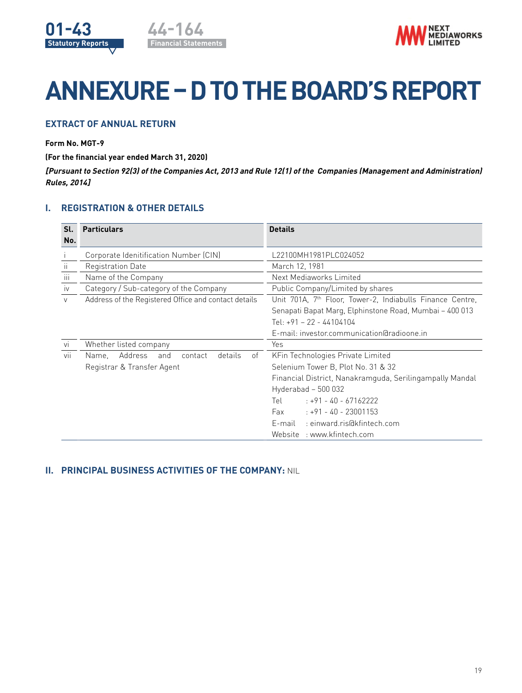



# **ANNEXURE – D TO THE BOARD'S REPORT**

# **EXTRACT OF ANNUAL RETURN**

## **Form No. MGT-9**

**(For the financial year ended March 31, 2020)**

**[Pursuant to Section 92(3) of the Companies Act, 2013 and Rule 12(1) of the Companies (Management and Administration) Rules, 2014]**

## **I. REGISTRATION & OTHER DETAILS**

| Sl.<br>No. | <b>Particulars</b>                                   | <b>Details</b>                                                        |  |  |  |  |
|------------|------------------------------------------------------|-----------------------------------------------------------------------|--|--|--|--|
|            | Corporate Idenitification Number (CIN)               | L22100MH1981PLC024052                                                 |  |  |  |  |
| ii.        | Registration Date                                    | March 12, 1981                                                        |  |  |  |  |
| iii.       | Name of the Company                                  | Next Mediaworks Limited                                               |  |  |  |  |
| <b>IV</b>  | Category / Sub-category of the Company               | Public Company/Limited by shares                                      |  |  |  |  |
| V          | Address of the Registered Office and contact details | Unit 701A, 7 <sup>th</sup> Floor, Tower-2, Indiabulls Finance Centre, |  |  |  |  |
|            |                                                      | Senapati Bapat Marg, Elphinstone Road, Mumbai - 400 013               |  |  |  |  |
|            |                                                      | Tel: $+91 - 22 - 44104104$                                            |  |  |  |  |
|            |                                                      | E-mail: investor.communication@radioone.in                            |  |  |  |  |
| Vİ         | Whether listed company                               | Yes                                                                   |  |  |  |  |
| Vİİ        | Address<br>details<br>of<br>Name,<br>contact<br>and  | KFin Technologies Private Limited                                     |  |  |  |  |
|            | Registrar & Transfer Agent                           | Selenium Tower B, Plot No. 31 & 32                                    |  |  |  |  |
|            |                                                      | Financial District, Nanakramguda, Serilingampally Mandal              |  |  |  |  |
|            |                                                      | Hyderabad $-500032$                                                   |  |  |  |  |
|            |                                                      | $: +91 - 40 - 67162222$<br>Tel                                        |  |  |  |  |
|            |                                                      | Fax<br>$: +91 - 40 - 23001153$                                        |  |  |  |  |
|            |                                                      | : einward.ris@kfintech.com<br>E-mail                                  |  |  |  |  |
|            |                                                      | Website : www.kfintech.com                                            |  |  |  |  |

## **II. PRINCIPAL BUSINESS ACTIVITIES OF THE COMPANY:** NIL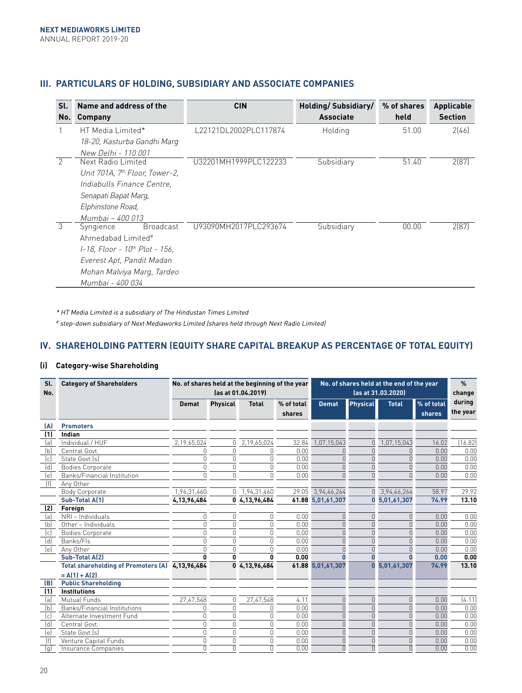# **III. PARTICULARS OF HOLDING, SUBSIDIARY AND ASSOCIATE COMPANIES**

| Sl.           | Name and address of the                    | <b>CIN</b>            | Holding/Subsidiary/ | % of shares | Applicable     |
|---------------|--------------------------------------------|-----------------------|---------------------|-------------|----------------|
| No.           | <b>Company</b>                             |                       | <b>Associate</b>    | held        | <b>Section</b> |
|               | HT Media Limited*                          | L22121DL2002PLC117874 | Holding             | 51.00       | 2[46]          |
|               | 18-20, Kasturba Gandhi Marq                |                       |                     |             |                |
|               | New Delhi - 110 001                        |                       |                     |             |                |
| $\mathcal{P}$ | Next Radio Limited                         | U32201MH1999PLC122233 | Subsidiary          | 51.40       | 2(87)          |
|               | Unit 701A, 7 <sup>th</sup> Floor, Tower-2, |                       |                     |             |                |
|               | Indiabulls Finance Centre.                 |                       |                     |             |                |
|               | Senapati Bapat Marg,                       |                       |                     |             |                |
|               | Elphinstone Road,                          |                       |                     |             |                |
|               | Mumbai - 400 013                           |                       |                     |             |                |
| 3             | <b>Broadcast</b><br>Syngience              | U93090MH2017PLC293674 | Subsidiary          | 00.00       | 2(87)          |
|               | Ahmedabad Limited <sup>#</sup>             |                       |                     |             |                |
|               | 1-18, Floor - 10 <sup>th</sup> Plot - 156, |                       |                     |             |                |
|               | Everest Apt, Pandit Madan                  |                       |                     |             |                |
|               | Mohan Malviya Marg, Tardeo                 |                       |                     |             |                |
|               | Mumbai - 400 034                           |                       |                     |             |                |

\* HT Media Limited is a subsidiary of The Hindustan Times Limited

# step-down subsidiary of Next Mediaworks Limited (shares held through Next Radio Limited)

## **IV. SHAREHOLDING PATTERN (EQUITY SHARE CAPITAL BREAKUP AS PERCENTAGE OF TOTAL EQUITY)**

## **(i) Category-wise Shareholding**

| Sl.<br>No. | <b>Category of Shareholders</b>                 | No. of shares held at the beginning of the year<br>(as at 01.04.2019) |                 |               |                      | No. of shares held at the end of the year<br>(as at 31.03.2020) |                 |               |                      | $\%$<br>change     |
|------------|-------------------------------------------------|-----------------------------------------------------------------------|-----------------|---------------|----------------------|-----------------------------------------------------------------|-----------------|---------------|----------------------|--------------------|
|            |                                                 | <b>Demat</b>                                                          | <b>Physical</b> | <b>Total</b>  | % of total<br>shares | <b>Demat</b>                                                    | <b>Physical</b> | <b>Total</b>  | % of total<br>shares | during<br>the year |
| (A)        | <b>Promoters</b>                                |                                                                       |                 |               |                      |                                                                 |                 |               |                      |                    |
| (1)        | Indian                                          |                                                                       |                 |               |                      |                                                                 |                 |               |                      |                    |
| (a)        | Individual / HUF                                | 2,19,65,024                                                           | 0               | 2,19,65,024   | 32.84                | 1,07,15,043                                                     | 0               | 1,07,15,043   | 16.02                | 16.82              |
| (b)        | Central Govt.                                   | $\theta$                                                              | 0               | n             | 0.00                 |                                                                 | $\cap$          | n             | 0.00                 | 0.00               |
| (c)        | State Govt. [s]                                 | 0                                                                     | $\Omega$        | $\cap$        | 0.00                 |                                                                 | U               |               | 0.00                 | 0.00               |
| (d)        | <b>Bodies Corporate</b>                         | $\Omega$                                                              | $\Omega$        | $\cap$        | 0.00                 |                                                                 | $\cap$          |               | 0.00                 | 0.00               |
| (e)        | Banks/Financial Institution                     | 0                                                                     | $\Omega$        | $\Omega$      | 0.00                 | $\cap$                                                          | $\Omega$        |               | 0.00                 | 0.00               |
| (f)        | Anv Other                                       |                                                                       |                 |               |                      |                                                                 |                 |               |                      |                    |
|            | Body Corporate                                  | 1,94,31,460                                                           | 0               | 1,94,31,460   | 29.05                | 3,94,46,264                                                     | 0               | 3,94,46,264   | 58.97                | 29.92              |
|            | Sub-Total A(1)                                  | 4,13,96,484                                                           |                 | 0 4,13,96,484 |                      | 61.88 5,01,61,307                                               |                 | 0 5,01,61,307 | 74.99                | 13.10              |
| (2)        | Foreign                                         |                                                                       |                 |               |                      |                                                                 |                 |               |                      |                    |
| (a)        | NRI - Individuals                               | 0                                                                     | 0               | $\theta$      | 0.00                 | U                                                               | $\Omega$        | n             | 0.00                 | 0.00               |
| (b)        | Other - Individuals                             | $\Omega$                                                              | $\Omega$        | $\Omega$      | 0.00                 | U                                                               | $\overline{0}$  |               | 0.00                 | 0.00               |
| (c)        | <b>Bodies Corporate</b>                         | 0                                                                     | 0               | 0             | 0.00                 |                                                                 | $\cap$          |               | 0.00                 | 0.00               |
| (d)        | Banks/Fls                                       | $\Omega$                                                              | $\Omega$        | U             | 0.00                 | $\cap$                                                          | $\cap$          |               | 0.00                 | 0.00               |
| (e)        | Any Other                                       | $\cap$                                                                | $\cap$          | U             | 0.00                 |                                                                 | $\cap$          |               | 0.00                 | 0.00               |
|            | Sub-Total A(2)                                  | n                                                                     | $\mathbf{0}$    | n             | 0.00                 |                                                                 |                 |               | 0.00                 | 0.00               |
|            | Total shareholding of Promoters (A) 4,13,96,484 |                                                                       |                 | 0 4,13,96,484 |                      | 61.88 5,01,61,307                                               |                 | 5,01,61,307   | 74.99                | 13.10              |
|            | $= A(1) + A(2)$                                 |                                                                       |                 |               |                      |                                                                 |                 |               |                      |                    |
| (B)        | <b>Public Shareholding</b>                      |                                                                       |                 |               |                      |                                                                 |                 |               |                      |                    |
| (1)        | <b>Institutions</b>                             |                                                                       |                 |               |                      |                                                                 |                 |               |                      |                    |
| (a)        | Mutual Funds                                    | 27,47,548                                                             | 0               | 27,47,548     | 4.11                 | U                                                               | $\cap$          | 0             | 0.00                 | (4.11)             |
| (b)        | Banks/Financial Institutions                    | 0                                                                     | $\Omega$        | U             | 0.00                 | $\Omega$                                                        | $\cap$          |               | 0.00                 | 0.00               |
| (c)        | Alternate Investment Fund                       | $\Omega$                                                              | $\Omega$        | $\Omega$      | 0.00                 | $\Omega$                                                        | $\cap$          |               | 0.00                 | 0.00               |
| (d)        | Central Govt.                                   | $\Omega$                                                              | $\Omega$        | 0             | 0.00                 | $\Omega$                                                        | $\cap$          | U             | 0.00                 | 0.00               |
| (e)        | State Govt. [s]                                 | $\Omega$                                                              | $\cap$          | $\Omega$      | 0.00                 | $\Omega$                                                        | $\cap$          | U             | 0.00                 | 0.00               |
| (f)        | Venture Capital Funds                           | 0                                                                     | $\Omega$        | 0             | 0.00                 | $\Omega$                                                        | $\cap$          | n             | 0.00                 | 0.00               |
| (q)        | Insurance Companies                             | $\overline{0}$                                                        | U               | $\Omega$      | 0.00                 | $\Omega$                                                        | $\cap$          |               | 0.00                 | 0.00               |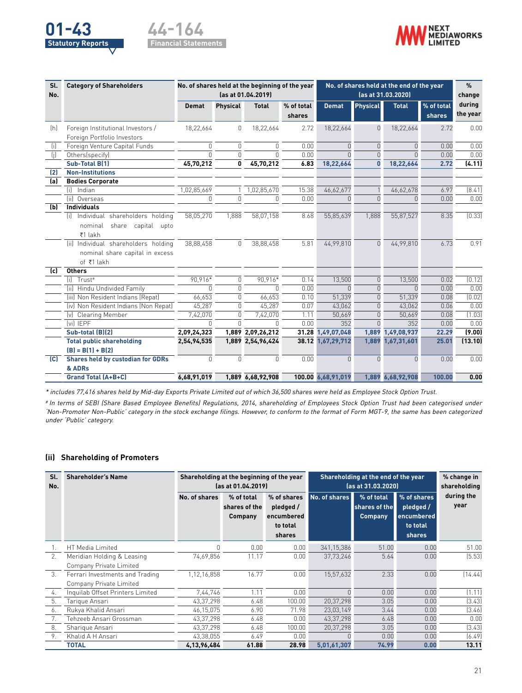





| Sl.<br>No. | <b>Category of Shareholders</b>          |              |                 | No. of shares held at the beginning of the year<br>(as at 01.04.2019) |                      | No. of shares held at the end of the year<br>(as at 31.03.2020) |                 |                   |                      | $\frac{9}{6}$<br>change |
|------------|------------------------------------------|--------------|-----------------|-----------------------------------------------------------------------|----------------------|-----------------------------------------------------------------|-----------------|-------------------|----------------------|-------------------------|
|            |                                          |              |                 |                                                                       |                      |                                                                 |                 |                   |                      |                         |
|            |                                          | <b>Demat</b> | <b>Physical</b> | <b>Total</b>                                                          | % of total<br>shares | <b>Demat</b>                                                    | <b>Physical</b> | <b>Total</b>      | % of total<br>shares | during<br>the year      |
| (h)        | Foreign Institutional Investors /        | 18,22,664    | 0               | 18,22,664                                                             | 2.72                 | 18,22,664                                                       | $\Omega$        | 18,22,664         | 2.72                 | 0.00                    |
|            | Foreign Portfolio Investors              |              |                 |                                                                       |                      |                                                                 |                 |                   |                      |                         |
| (i)        | Foreign Venture Capital Funds            | $\Omega$     | 0               | $\Omega$                                                              | 0.00                 | $\Omega$                                                        | $\Omega$        | U                 | 0.00                 | 0.00                    |
| (i)        | Others(specify)                          | $\cap$       | $\Omega$        | $\cap$                                                                | 0.00                 |                                                                 | $\Omega$        |                   | 0.00                 | 0.00                    |
|            | Sub-Total B(1)                           | 45,70,212    | 0               | 45,70,212                                                             | 6.83                 | 18,22,664                                                       | 0               | 18,22,664         | 2.72                 | (4.11)                  |
| (2)        | <b>Non-Institutions</b>                  |              |                 |                                                                       |                      |                                                                 |                 |                   |                      |                         |
| (a)        | <b>Bodies Corporate</b>                  |              |                 |                                                                       |                      |                                                                 |                 |                   |                      |                         |
|            | fil.<br>Indian                           | 1,02,85,669  |                 | 1,02,85,670                                                           | 15.38                | 46,62,677                                                       |                 | 46,62,678         | 6.97                 | [8.41]                  |
|            | (ii) Overseas                            | $\bigcap$    | 0               | $\bigcap$                                                             | 0.00                 |                                                                 | $\Omega$        | U                 | 0.00                 | 0.00                    |
| (b)        | <b>Individuals</b>                       |              |                 |                                                                       |                      |                                                                 |                 |                   |                      |                         |
|            | (i) Individual shareholders holding      | 58,05,270    | 1.888           | 58,07,158                                                             | 8.68                 | 55,85,639                                                       | 1,888           | 55,87,527         | 8.35                 | (0.33)                  |
|            | share capital upto<br>nominal            |              |                 |                                                                       |                      |                                                                 |                 |                   |                      |                         |
|            | ₹1 lakh                                  |              |                 |                                                                       |                      |                                                                 |                 |                   |                      |                         |
|            | Individual shareholders holding<br>(ii)  | 38,88,458    | $\Omega$        | 38,88,458                                                             | 5.81                 | 44,99,810                                                       | $\Omega$        | 44,99,810         | 6.73                 | 0.91                    |
|            | nominal share capital in excess          |              |                 |                                                                       |                      |                                                                 |                 |                   |                      |                         |
|            | of ₹1 lakh                               |              |                 |                                                                       |                      |                                                                 |                 |                   |                      |                         |
| (c)        | <b>Others</b>                            |              |                 |                                                                       |                      |                                                                 |                 |                   |                      |                         |
|            | Trust <sup>#</sup><br>fil.               | 90.916*      | $\Omega$        | 90.916*                                                               | 0.14                 | 13,500                                                          | $\Omega$        | 13,500            | 0.02                 | (0.12)                  |
|            | (ii) Hindu Undivided Family              | $\cap$       | $\cap$          | $\cap$                                                                | 0.00                 | $\cap$                                                          | $\Omega$        | $\cap$            | 0.00                 | 0.00                    |
|            | (iii) Non Resident Indians (Repat)       | 66,653       | $\Omega$        | 66,653                                                                | 0.10                 | 51,339                                                          | $\Omega$        | 51,339            | 0.08                 | (0.02)                  |
|            | (iv) Non Resident Indians (Non Repat)    | 45,287       | $\Omega$        | 45,287                                                                | 0.07                 | 43,062                                                          | $\Omega$        | 43,062            | 0.06                 | 0.00                    |
|            | (v) Clearing Member                      | 7,42,070     | 0               | 7,42,070                                                              | 1.11                 | 50,669                                                          | U               | 50,669            | 0.08                 | (1.03)                  |
|            | (vi) IEPF                                | $\cap$       | $\Omega$        | $\cap$                                                                | 0.00                 | 352                                                             | $\cap$          | 352               | 0.00                 | 0.00                    |
|            | Sub-total (B)(2)                         | 2,09,24,323  |                 | 1,889 2,09,26,212                                                     | 31.28                | 1,49,07,048                                                     | 1,889           | 1,49,08,937       | 22.29                | (9.00)                  |
|            | <b>Total public shareholding</b>         | 2,54,94,535  |                 | 1,889 2,54,96,424                                                     |                      | 38.12 1,67,29,712                                               | 1,889           | 1,67,31,601       | 25.01                | (13.10)                 |
|            | $[B] = B(1) + B(2)$                      |              |                 |                                                                       |                      |                                                                 |                 |                   |                      |                         |
| (C)        | <b>Shares held by custodian for GDRs</b> | $\Omega$     | $\Omega$        | $\Omega$                                                              | 0.00                 | 0                                                               | $\Omega$        | $\cap$            | 0.00                 | 0.00                    |
|            | & ADRs                                   |              |                 |                                                                       |                      |                                                                 |                 |                   |                      |                         |
|            | <b>Grand Total (A+B+C)</b>               | 6.68.91.019  |                 | 1,889 6,68,92,908                                                     |                      | 100.00 6,68,91,019                                              |                 | 1,889 6,68,92,908 | 100.00               | 0.00                    |

\* includes 77,416 shares held by Mid-day Exports Private Limited out of which 36,500 shares were held as Employee Stock Option Trust.

# In terms of SEBI (Share Based Employee Benefits) Regulations, 2014, shareholding of Employees Stock Option Trust had been categorised under 'Non-Promoter Non-Public' category in the stock exchange filings. However, to conform to the format of Form MGT-9, the same has been categorized under 'Public' category.

#### **(ii) Shareholding of Promoters**

| Sl.<br>No.     | <b>Shareholder's Name</b>        | Shareholding at the beginning of the year<br>Shareholding at the end of the year<br>(as at 31.03.2020)<br>(as at 01.04.2019) |                                        |                                                              |               |                                               |                                                              | % change in<br>shareholding |
|----------------|----------------------------------|------------------------------------------------------------------------------------------------------------------------------|----------------------------------------|--------------------------------------------------------------|---------------|-----------------------------------------------|--------------------------------------------------------------|-----------------------------|
|                |                                  | No. of shares                                                                                                                | % of total<br>shares of the<br>Company | % of shares<br>pledged /<br>encumbered<br>to total<br>shares | No. of shares | % of total<br>shares of the<br><b>Company</b> | % of shares<br>pledged /<br>encumbered<br>to total<br>shares | during the<br>year          |
|                | HT Media Limited                 | N                                                                                                                            | 0.00                                   | 0.00                                                         | 341, 15, 386  | 51.00                                         | 0.00                                                         | 51.00                       |
| 2.             | Meridian Holding & Leasing       | 74,69,856                                                                                                                    | 11.17                                  | 0.00                                                         | 37,73,246     | 5.64                                          | 0.00                                                         | (5.53)                      |
|                | Company Private Limited          |                                                                                                                              |                                        |                                                              |               |                                               |                                                              |                             |
| 3 <sub>1</sub> | Ferrari Investments and Trading  | 1,12,16,858                                                                                                                  | 16.77                                  | 0.00                                                         | 15,57,632     | 2.33                                          | 0.00                                                         | (14.44)                     |
|                | Company Private Limited          |                                                                                                                              |                                        |                                                              |               |                                               |                                                              |                             |
| 4.             | Inquilab Offset Printers Limited | 7,44,746                                                                                                                     | 1.11                                   | 0.00                                                         |               | 0.00                                          | 0.00                                                         | (1.11)                      |
| 5.             | Tarique Ansari                   | 43,37,298                                                                                                                    | 6.48                                   | 100.00                                                       | 20,37,298     | 3.05                                          | 0.00                                                         | (3.43)                      |
| 6.             | Rukya Khalid Ansari              | 46,15,075                                                                                                                    | 6.90                                   | 71.98                                                        | 23,03,149     | 3.44                                          | 0.00                                                         | [3.46]                      |
| 7.             | Tehzeeb Ansari Grossman          | 43,37,298                                                                                                                    | 6.48                                   | 0.00                                                         | 43,37,298     | 6.48                                          | 0.00                                                         | 0.00                        |
| 8.             | Sharique Ansari                  | 43,37,298                                                                                                                    | 6.48                                   | 100.00                                                       | 20,37,298     | 3.05                                          | 0.00                                                         | [3.43]                      |
| 9.             | Khalid A H Ansari                | 43,38,055                                                                                                                    | 6.49                                   | 0.00                                                         |               | 0.00                                          | 0.00                                                         | (6.49)                      |
|                | <b>TOTAL</b>                     | 4,13,96,484                                                                                                                  | 61.88                                  | 28.98                                                        | 5,01,61,307   | 74.99                                         | 0.00                                                         | 13.11                       |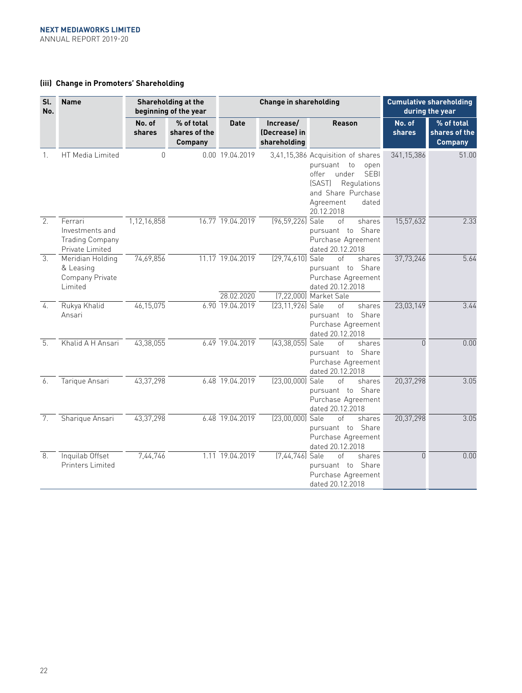## **(iii) Change in Promoters' Shareholding**

| Sl.<br>No.     | <b>Name</b>                                                             |                  | Shareholding at the<br>beginning of the year  |                                | <b>Change in shareholding</b>              |                                                                                                                                                                              |                         | <b>Cumulative shareholding</b><br>during the year |
|----------------|-------------------------------------------------------------------------|------------------|-----------------------------------------------|--------------------------------|--------------------------------------------|------------------------------------------------------------------------------------------------------------------------------------------------------------------------------|-------------------------|---------------------------------------------------|
|                |                                                                         | No. of<br>shares | % of total<br>shares of the<br><b>Company</b> | <b>Date</b>                    | Increase/<br>(Decrease) in<br>shareholding | <b>Reason</b>                                                                                                                                                                | No. of<br><b>shares</b> | % of total<br>shares of the<br><b>Company</b>     |
| 1.             | HT Media Limited                                                        | $\overline{0}$   |                                               | 0.00 19.04.2019                |                                            | 3,41,15,386 Acquisition of shares<br>pursuant to<br>open<br>under<br>offer<br><b>SEBI</b><br>(SAST)<br>Regulations<br>and Share Purchase<br>Agreement<br>dated<br>20.12.2018 | 341,15,386              | 51.00                                             |
| 2.             | Ferrari<br>Investments and<br><b>Trading Company</b><br>Private Limited | 1,12,16,858      |                                               | 16.77 19.04.2019               | (96,59,226) Sale                           | of<br>shares<br>pursuant to Share<br>Purchase Agreement<br>dated 20.12.2018                                                                                                  | 15,57,632               | 2.33                                              |
| 3.             | Meridian Holding<br>& Leasing<br>Company Private<br>Limited             | 74,69,856        |                                               | 11.17 19.04.2019<br>28.02.2020 | (29,74,610) Sale                           | of<br>shares<br>pursuant to Share<br>Purchase Agreement<br>dated 20.12.2018<br>[7,22,000] Market Sale                                                                        | 37,73,246               | 5.64                                              |
| 4.             | Rukya Khalid<br>Ansari                                                  | 46,15,075        |                                               | 6.90 19.04.2019                | (23,11,926) Sale                           | of<br>shares<br>pursuant to Share<br>Purchase Agreement<br>dated 20.12.2018                                                                                                  | 23,03,149               | 3.44                                              |
| 5.             | Khalid A H Ansari                                                       | 43,38,055        |                                               | $6.49$ 19.04.2019              | $(43,38,055)$ Sale                         | of<br>shares<br>pursuant to Share<br>Purchase Agreement<br>dated 20.12.2018                                                                                                  | $\Omega$                | 0.00                                              |
| 6.             | Tarique Ansari                                                          | 43,37,298        |                                               | 6.48 19.04.2019                | $(23,00,000)$ Sale                         | of<br>shares<br>pursuant to Share<br>Purchase Agreement<br>dated 20.12.2018                                                                                                  | 20,37,298               | 3.05                                              |
| 7 <sub>1</sub> | Sharique Ansari                                                         | 43,37,298        |                                               | $6.48$ 19.04.2019              | $(23,00,000)$ Sale                         | shares<br>Ωf<br>pursuant to Share<br>Purchase Agreement<br>dated 20.12.2018                                                                                                  | 20,37,298               | 3.05                                              |
| 8.             | Inquilab Offset<br>Printers Limited                                     | 7,44,746         |                                               | 1.11 19.04.2019                | [7,44,746] Sale                            | Ωf<br>shares<br>pursuant to Share<br>Purchase Agreement<br>dated 20.12.2018                                                                                                  | $\Omega$                | 0.00                                              |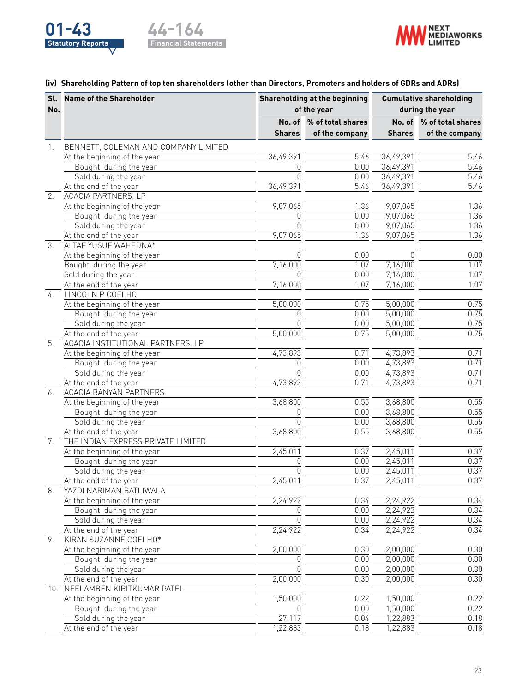



## **(iv) Shareholding Pattern of top ten shareholders (other than Directors, Promoters and holders of GDRs and ADRs)**

|                  | Sl. Name of the Shareholder          |               | Shareholding at the beginning | <b>Cumulative shareholding</b> |                          |  |
|------------------|--------------------------------------|---------------|-------------------------------|--------------------------------|--------------------------|--|
| No.              |                                      |               | of the year                   |                                | during the year          |  |
|                  |                                      |               | No. of % of total shares      |                                | No. of % of total shares |  |
|                  |                                      | <b>Shares</b> | of the company                | <b>Shares</b>                  | of the company           |  |
| 1.               | BENNETT, COLEMAN AND COMPANY LIMITED |               |                               |                                |                          |  |
|                  | At the beginning of the year         | 36,49,391     | 5.46                          | 36,49,391                      | 5.46                     |  |
|                  | Bought during the year               | $\Omega$      | 0.00                          | 36,49,391                      | $\overline{5.46}$        |  |
|                  | Sold during the year                 | $\Omega$      | 0.00                          | 36,49,391                      | $\overline{5.46}$        |  |
|                  | At the end of the year               | 36,49,391     | 5.46                          | 36,49,391                      | 5.46                     |  |
| $\overline{2}$ . | <b>ACACIA PARTNERS, LP</b>           |               |                               |                                |                          |  |
|                  | At the beginning of the year         | 9,07,065      | 1.36                          | 9,07,065                       | 1.36                     |  |
|                  | Bought during the year               | $\Omega$      | 0.00                          | 9,07,065                       | 1.36                     |  |
|                  | Sold during the year                 | 0             | 0.00                          | 9,07,065                       | 1.36                     |  |
|                  | At the end of the year               | 9,07,065      | 1.36                          | 9,07,065                       | 1.36                     |  |
| 3.               | <b>ALTAF YUSUF WAHEDNA*</b>          |               |                               |                                |                          |  |
|                  | At the beginning of the year         | $\Omega$      | 0.00                          | n                              | 0.00                     |  |
|                  | Bought during the year               | 7,16,000      | 1.07                          | 7,16,000                       | 1.07                     |  |
|                  | Sold during the year                 | U             | 0.00                          | 7,16,000                       | 1.07                     |  |
|                  | At the end of the year               | 7,16,000      | 1.07                          | 7,16,000                       | 1.07                     |  |
| $\frac{1}{4}$ .  | LINCOLN P COELHO                     |               |                               |                                |                          |  |
|                  | At the beginning of the year         | 5,00,000      | 0.75                          | 5,00,000                       | 0.75                     |  |
|                  | Bought during the year               | 0             | 0.00                          | 5,00,000                       | 0.75                     |  |
|                  | Sold during the year                 | $\Omega$      | 0.00                          | 5,00,000                       | 0.75                     |  |
|                  | At the end of the year               | 5,00,000      | 0.75                          | 5,00,000                       | 0.75                     |  |
| 5.               | ACACIA INSTITUTIONAL PARTNERS, LP    |               |                               |                                |                          |  |
|                  | At the beginning of the year         | 4,73,893      | 0.71                          | 4,73,893                       | 0.71                     |  |
|                  | Bought during the year               | <sup>0</sup>  | 0.00                          | 4,73,893                       | 0.71                     |  |
|                  | Sold during the year                 | $\bigcap$     | 0.00                          | 4,73,893                       | 0.71                     |  |
|                  | At the end of the year               | 4,73,893      | 0.71                          | 4,73,893                       | 0.71                     |  |
| 6.               | <b>ACACIA BANYAN PARTNERS</b>        |               |                               |                                |                          |  |
|                  | At the beginning of the year         | 3,68,800      | 0.55                          | 3,68,800                       | 0.55                     |  |
|                  | Bought during the year               | 0             | 0.00                          | 3,68,800                       | 0.55                     |  |
|                  | Sold during the year                 | $\cap$        | 0.00                          | 3,68,800                       | 0.55                     |  |
|                  | At the end of the year               | 3,68,800      | 0.55                          | 3,68,800                       | 0.55                     |  |
| 7.               | THE INDIAN EXPRESS PRIVATE LIMITED   |               |                               |                                |                          |  |
|                  | At the beginning of the year         | 2,45,011      | 0.37                          | 2,45,011                       | 0.37                     |  |
|                  | Bought during the year               | $\Omega$      | 0.00                          | 2,45,011                       | 0.37                     |  |
|                  | Sold during the year                 | $\Omega$      | 0.00                          | 2,45,011                       | 0.37                     |  |
|                  | At the end of the year               | 2,45,011      | 0.37                          | 2,45,011                       | 0.37                     |  |
| 8.               | YAZDI NARIMAN BATLIWALA              |               |                               |                                |                          |  |
|                  | At the beginning of the year         | 2,24,922      | 0.34                          | 2,24,922                       | 0.34                     |  |
|                  | Bought during the year               | $\Omega$      | 0.00                          | 2,24,922                       | 0.34                     |  |
|                  | Sold during the year                 | $\mathbf 0$   | 0.00                          | 2,24,922                       | 0.34                     |  |
|                  | At the end of the year               | 2,24,922      | 0.34                          | 2,24,922                       | 0.34                     |  |
| 9.               | KIRAN SUZANNE COELHO*                |               |                               |                                |                          |  |
|                  | At the beginning of the year         | 2,00,000      | 0.30                          | 2,00,000                       | 0.30                     |  |
|                  | Bought during the year               | 0             | 0.00                          | 2,00,000                       | 0.30                     |  |
|                  | Sold during the year                 | 0             | 0.00                          | 2,00,000                       | 0.30                     |  |
|                  | At the end of the year               | 2,00,000      | 0.30                          | 2,00,000                       | 0.30                     |  |
|                  | 10. NEELAMBEN KIRITKUMAR PATEL       |               |                               |                                |                          |  |
|                  | At the beginning of the year         | 1,50,000      | 0.22                          | 1,50,000                       | 0.22                     |  |
|                  | Bought during the year               | $\Omega$      | 0.00                          | 1,50,000                       | 0.22                     |  |
|                  | Sold during the year                 | 27,117        | 0.04                          | 1,22,883                       | 0.18                     |  |
|                  | At the end of the year               | 1,22,883      | 0.18                          | 1,22,883                       | 0.18                     |  |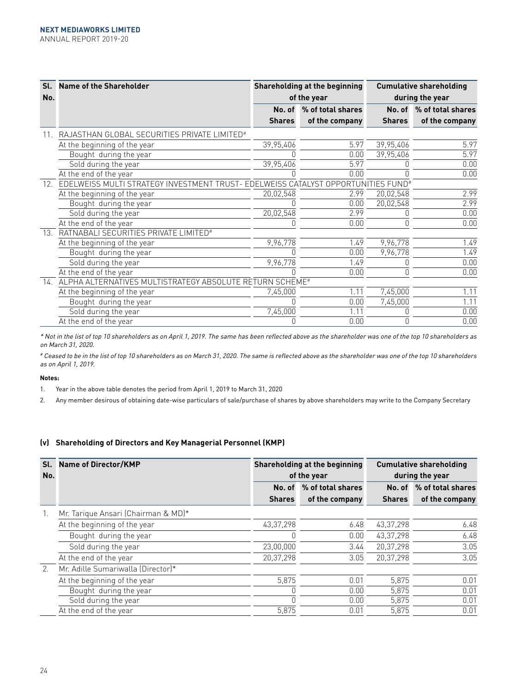| Sl.<br>No.      | <b>Name of the Shareholder</b>                                                                |               | <b>Shareholding at the beginning</b><br>of the year | <b>Cumulative shareholding</b><br>during the year |                          |  |
|-----------------|-----------------------------------------------------------------------------------------------|---------------|-----------------------------------------------------|---------------------------------------------------|--------------------------|--|
|                 |                                                                                               | No. of        | % of total shares                                   |                                                   | No. of % of total shares |  |
|                 |                                                                                               | <b>Shares</b> | of the company                                      | <b>Shares</b>                                     | of the company           |  |
|                 | RAJASTHAN GLOBAL SECURITIES PRIVATE LIMITED#                                                  |               |                                                     |                                                   |                          |  |
|                 | At the beginning of the year                                                                  | 39,95,406     | 5.97                                                | 39,95,406                                         | 5.97                     |  |
|                 | Bought during the year                                                                        |               | 0.00                                                | 39,95,406                                         | 5.97                     |  |
|                 | Sold during the year                                                                          | 39,95,406     | 5.97                                                |                                                   | 0.00                     |  |
|                 | At the end of the year                                                                        |               | 0.00                                                |                                                   | 0.00                     |  |
| 12 <sub>1</sub> | EDELWEISS MULTI STRATEGY INVESTMENT TRUST- EDELWEISS CATALYST OPPORTUNITIES FUND <sup>#</sup> |               |                                                     |                                                   |                          |  |
|                 | At the beginning of the year                                                                  | 20,02,548     | 2.99                                                | 20,02,548                                         | 2.99                     |  |
|                 | Bought during the year                                                                        |               | 0.00                                                | 20,02,548                                         | 2.99                     |  |
|                 | Sold during the year                                                                          | 20,02,548     | 2.99                                                |                                                   | 0.00                     |  |
|                 | At the end of the year                                                                        |               | 0.00                                                | 0                                                 | 0.00                     |  |
| 13.             | RATNABALI SECURITIES PRIVATE LIMITED <sup>#</sup>                                             |               |                                                     |                                                   |                          |  |
|                 | At the beginning of the year                                                                  | 9,96,778      | 1.49                                                | 9,96,778                                          | 1.49                     |  |
|                 | Bought during the year                                                                        |               | 0.00                                                | 9,96,778                                          | 1.49                     |  |
|                 | Sold during the year                                                                          | 9,96,778      | 1.49                                                |                                                   | 0.00                     |  |
|                 | At the end of the year                                                                        |               | 0.00                                                | n                                                 | 0.00                     |  |
|                 | 14. ALPHA ALTERNATIVES MULTISTRATEGY ABSOLUTE RETURN SCHEME#                                  |               |                                                     |                                                   |                          |  |
|                 | At the beginning of the year                                                                  | 7,45,000      | 1.11                                                | 7,45,000                                          | 1.11                     |  |
|                 | Bought during the year                                                                        |               | 0.00                                                | 7,45,000                                          | 1.11                     |  |
|                 | Sold during the year                                                                          | 7,45,000      | 1.11                                                |                                                   | 0.00                     |  |
|                 | At the end of the year                                                                        |               | 0.00                                                | N                                                 | 0.00                     |  |

\* Not in the list of top 10 shareholders as on April 1, 2019. The same has been reflected above as the shareholder was one of the top 10 shareholders as on March 31, 2020.

# Ceased to be in the list of top 10 shareholders as on March 31, 2020. The same is reflected above as the shareholder was one of the top 10 shareholders as on April 1, 2019.

#### **Notes:**

- 1. Year in the above table denotes the period from April 1, 2019 to March 31, 2020
- 2. Any member desirous of obtaining date-wise particulars of sale/purchase of shares by above shareholders may write to the Company Secretary

## **(v) Shareholding of Directors and Key Managerial Personnel (KMP)**

| Sl.<br>No. | <b>Name of Director/KMP</b>         |               | Shareholding at the beginning<br>of the year | <b>Cumulative shareholding</b><br>during the year |                   |  |
|------------|-------------------------------------|---------------|----------------------------------------------|---------------------------------------------------|-------------------|--|
|            |                                     | No. of        | % of total shares                            | No. of                                            | % of total shares |  |
|            |                                     | <b>Shares</b> | of the company                               | <b>Shares</b>                                     | of the company    |  |
| 1.         | Mr. Tarique Ansari (Chairman & MD)* |               |                                              |                                                   |                   |  |
|            | At the beginning of the year        | 43,37,298     | 6.48                                         | 43, 37, 298                                       | 6.48              |  |
|            | Bought during the year              |               | 0.00                                         | 43,37,298                                         | 6.48              |  |
|            | Sold during the year                | 23,00,000     | 3.44                                         | 20.37.298                                         | 3.05              |  |
|            | At the end of the year              | 20.37.298     | 3.05                                         | 20.37.298                                         | 3.05              |  |
| 2.         | Mr. Adille Sumariwalla (Director)*  |               |                                              |                                                   |                   |  |
|            | At the beginning of the year        | 5,875         | 0.01                                         | 5,875                                             | 0.01              |  |
|            | Bought during the year              |               | 0.00                                         | 5.875                                             | 0.01              |  |
|            | Sold during the year                |               | 0.00                                         | 5,875                                             | 0.01              |  |
|            | At the end of the year              | 5,875         | 0.01                                         | 5,875                                             | 0.01              |  |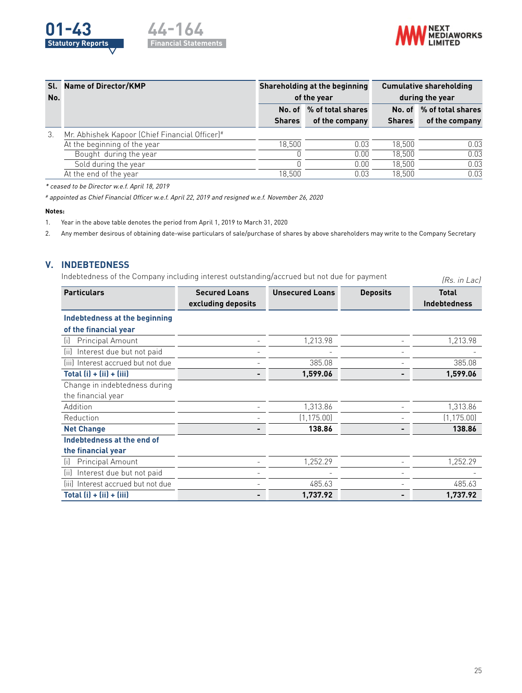





|     | Sl. Name of Director/KMP                       |               | Shareholding at the beginning | <b>Cumulative shareholding</b> |                          |  |
|-----|------------------------------------------------|---------------|-------------------------------|--------------------------------|--------------------------|--|
| No. |                                                |               | of the year                   | during the year                |                          |  |
|     |                                                | No. of        | % of total shares             |                                | No. of % of total shares |  |
|     |                                                | <b>Shares</b> | of the company                | <b>Shares</b>                  | of the company           |  |
| 3.  | Mr. Abhishek Kapoor (Chief Financial Officer)# |               |                               |                                |                          |  |
|     | At the beginning of the year                   | 18.500        | 0.03                          | 18.500                         | 0.03                     |  |
|     | Bought during the year                         |               | 0.00                          | 18.500                         | 0.03                     |  |
|     | Sold during the year                           |               | 0.00                          | 18.500                         | 0.03                     |  |
|     | At the end of the year                         | 18.500        | 0.03                          | 18.500                         | 0.03                     |  |

\* ceased to be Director w.e.f. April 18, 2019

# appointed as Chief Financial Officer w.e.f. April 22, 2019 and resigned w.e.f. November 26, 2020

#### **Notes:**

1. Year in the above table denotes the period from April 1, 2019 to March 31, 2020

2. Any member desirous of obtaining date-wise particulars of sale/purchase of shares by above shareholders may write to the Company Secretary

## **V. INDEBTEDNESS**

Indebtedness of the Company including interest outstanding/accrued but not due for payment (Rs. in Lac)

| <b>Particulars</b>                 | <b>Secured Loans</b> | <b>Unsecured Loans</b> | <b>Deposits</b> | <b>Total</b>        |
|------------------------------------|----------------------|------------------------|-----------------|---------------------|
|                                    | excluding deposits   |                        |                 | <b>Indebtedness</b> |
| Indebtedness at the beginning      |                      |                        |                 |                     |
| of the financial year              |                      |                        |                 |                     |
| Principal Amount<br>(i)            |                      | 1,213.98               |                 | 1,213.98            |
| Interest due but not paid<br>tiil  |                      |                        |                 |                     |
| (iii) Interest accrued but not due |                      | 385.08                 |                 | 385.08              |
| Total $(i) + (ii) + (iii)$         |                      | 1,599.06               |                 | 1,599.06            |
| Change in indebtedness during      |                      |                        |                 |                     |
| the financial year                 |                      |                        |                 |                     |
| Addition                           |                      | 1,313.86               |                 | 1,313.86            |
| Reduction                          |                      | (1, 175.00)            |                 | (1, 175.00)         |
| <b>Net Change</b>                  |                      | 138.86                 |                 | 138.86              |
| Indebtedness at the end of         |                      |                        |                 |                     |
| the financial year                 |                      |                        |                 |                     |
| Principal Amount<br>(i)            |                      | 1,252.29               |                 | 1,252.29            |
| Interest due but not paid<br>(ii)  |                      |                        |                 |                     |
| (iii) Interest accrued but not due |                      | 485.63                 |                 | 485.63              |
| Total $(ii) + (iii) + (iii)$       |                      | 1.737.92               |                 | 1,737.92            |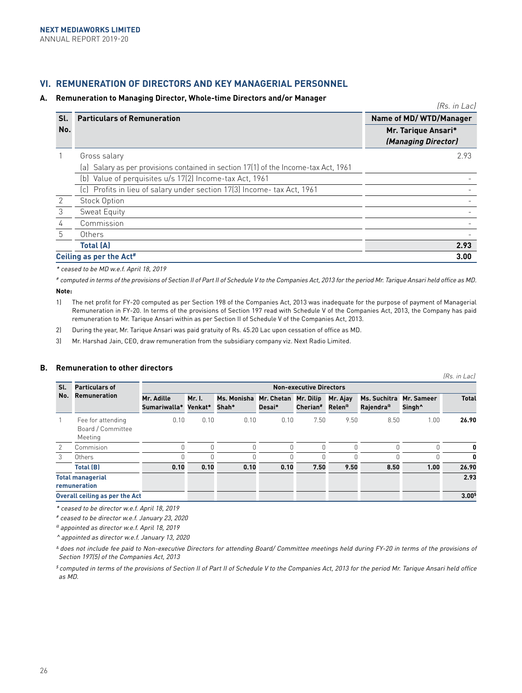# **VI. REMUNERATION OF DIRECTORS AND KEY MANAGERIAL PERSONNEL**

#### **A. Remuneration to Managing Director, Whole-time Directors and/or Manager**

(Rs. in Lac) **Sl. No. Particulars of Remuneration Name of MD/ WTD/Manager Mr. Tarique Ansari\* (Managing Director)** 1 Gross salary (a) Salary as per provisions contained in section 17(1) of the Income-tax Act, 1961 2.93 (b) Value of perquisites u/s 17(2) Income-tax Act, 1961 (c) Profits in lieu of salary under section 17(3) Income- tax Act, 1961 - 2 Stock Option - 3 Sweat Equity - 4 Commission - 5 Others - **Total (A) 2.93 Ceiling as per the Act# 3.00**

\* ceased to be MD w.e.f. April 18, 2019

# computed in terms of the provisions of Section II of Part II of Schedule V to the Companies Act, 2013 for the period Mr. Tarique Ansari held office as MD. **Note:** 

- 1) The net profit for FY-20 computed as per Section 198 of the Companies Act, 2013 was inadequate for the purpose of payment of Managerial Remuneration in FY-20. In terms of the provisions of Section 197 read with Schedule V of the Companies Act, 2013, the Company has paid remuneration to Mr. Tarique Ansari within as per Section II of Schedule V of the Companies Act, 2013.
- 2) During the year, Mr. Tarique Ansari was paid gratuity of Rs. 45.20 Lac upon cessation of office as MD.
- 3) Mr. Harshad Jain, CEO, draw remuneration from the subsidiary company viz. Next Radio Limited.

| SI. | Particulars of                                    | (Rs. in Lac)<br><b>Non-executive Directors</b> |                   |                      |                      |                              |                                |                                       |                                  |              |
|-----|---------------------------------------------------|------------------------------------------------|-------------------|----------------------|----------------------|------------------------------|--------------------------------|---------------------------------------|----------------------------------|--------------|
| No. | <b>Remuneration</b>                               | Mr. Adille<br>Sumariwalla*                     | Mr. I.<br>Venkat* | Ms. Monisha<br>Shah* | Mr. Chetan<br>Desai* | Mr. Dilip<br><b>Cherian#</b> | Mr. Ajay<br>Relen <sup>a</sup> | Ms. Suchitra<br>Rajendra <sup>a</sup> | Mr. Sameer<br>Singh <sup>^</sup> | <b>Total</b> |
|     | Fee for attending<br>Board / Committee<br>Meeting | 0.10                                           | 0.10              | 0.10                 | 0.10                 | 7.50                         | 9.50                           | 8.50                                  | 1.00                             | 26.90        |
| 2   | Commision                                         |                                                | 0                 | $\bigcap$            | O                    | $\Omega$                     | 0                              | 0                                     | 0                                | 0            |
| 3   | Others                                            |                                                | Ŋ                 |                      |                      |                              |                                | 0                                     |                                  | 0            |
|     | <b>Total (B)</b>                                  | 0.10                                           | 0.10              | 0.10                 | 0.10                 | 7.50                         | 9.50                           | 8.50                                  | 1.00                             | 26.90        |
|     | <b>Total managerial</b><br>remuneration           |                                                |                   |                      |                      |                              |                                |                                       |                                  | 2.93         |
|     | Overall ceiling as per the Act                    |                                                |                   |                      |                      |                              |                                |                                       |                                  | $3.00*$      |

## **B. Remuneration to other directors**

\* ceased to be director w.e.f. April 18, 2019

# ceased to be director w.e.f. January 23, 2020

@ appointed as director w.e.f. April 18, 2019

^ appointed as director w.e.f. January 13, 2020

& does not include fee paid to Non-executive Directors for attending Board/ Committee meetings held during FY-20 in terms of the provisions of Section 197(5) of the Companies Act, 2013

\$ computed in terms of the provisions of Section II of Part II of Schedule V to the Companies Act, 2013 for the period Mr. Tarique Ansari held office as MD.